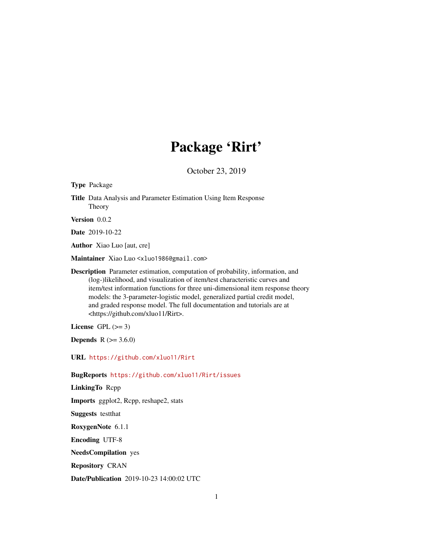## Package 'Rirt'

October 23, 2019

Type Package

Title Data Analysis and Parameter Estimation Using Item Response Theory

Version 0.0.2

Date 2019-10-22

Author Xiao Luo [aut, cre]

Maintainer Xiao Luo <xluo1986@gmail.com>

Description Parameter estimation, computation of probability, information, and (log-)likelihood, and visualization of item/test characteristic curves and item/test information functions for three uni-dimensional item response theory models: the 3-parameter-logistic model, generalized partial credit model, and graded response model. The full documentation and tutorials are at <https://github.com/xluo11/Rirt>.

License GPL  $(>= 3)$ 

**Depends** R  $(>= 3.6.0)$ 

URL <https://github.com/xluo11/Rirt>

BugReports <https://github.com/xluo11/Rirt/issues>

LinkingTo Rcpp

Imports ggplot2, Rcpp, reshape2, stats

Suggests testthat

RoxygenNote 6.1.1

Encoding UTF-8

NeedsCompilation yes

Repository CRAN

Date/Publication 2019-10-23 14:00:02 UTC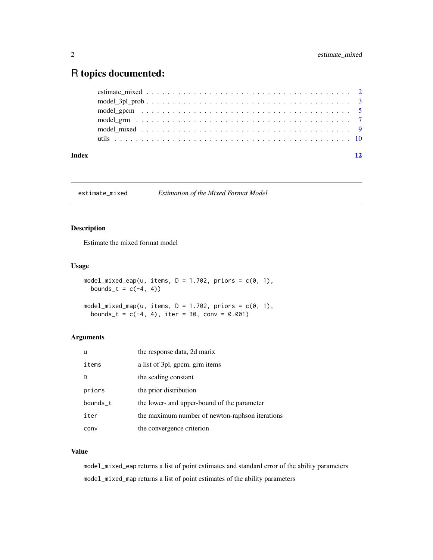### <span id="page-1-0"></span>R topics documented:

| Index | 12 |
|-------|----|
|       |    |
|       |    |
|       |    |
|       |    |
|       |    |
|       |    |

estimate\_mixed *Estimation of the Mixed Format Model*

#### Description

Estimate the mixed format model

#### Usage

```
model_mixed_eap(u, items, D = 1.702, priors = c(0, 1),
 bounds_t = c(-4, 4))
model_mixed_map(u, items, D = 1.702, priors = c(0, 1),
 bounds_t = c(-4, 4), iter = 30, conv = 0.001)
```
#### Arguments

| u        | the response data, 2d marix                     |
|----------|-------------------------------------------------|
| items    | a list of 3pl, gpcm, grm items                  |
|          | the scaling constant                            |
| priors   | the prior distribution                          |
| bounds_t | the lower- and upper-bound of the parameter     |
| iter     | the maximum number of newton-raphson iterations |
| conv     | the convergence criterion                       |

#### Value

model\_mixed\_eap returns a list of point estimates and standard error of the ability parameters model\_mixed\_map returns a list of point estimates of the ability parameters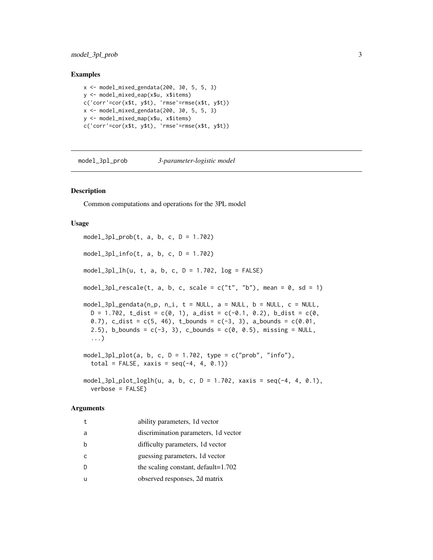#### <span id="page-2-0"></span>model\_3pl\_prob 3

#### Examples

```
x <- model_mixed_gendata(200, 30, 5, 5, 3)
y <- model_mixed_eap(x$u, x$items)
c('corr'=cor(x$t, y$t), 'rmse'=rmse(x$t, y$t))
x <- model_mixed_gendata(200, 30, 5, 5, 3)
y <- model_mixed_map(x$u, x$items)
c('corr'=cor(x$t, y$t), 'rmse'=rmse(x$t, y$t))
```
model\_3pl\_prob *3-parameter-logistic model*

#### Description

Common computations and operations for the 3PL model

#### Usage

 $model_3pl\_prob(t, a, b, c, D = 1.702)$  $model_3pl_info(t, a, b, c, D = 1.702)$  $model_3pl_1h(u, t, a, b, c, D = 1.702, log = FALSE)$ model\_3pl\_rescale(t, a, b, c, scale =  $c("t", "b")$ , mean = 0, sd = 1)  $model_3pl_gendata(n_p, n_i, t = NULL, a = NULL, b = NULL, c = NULL,$  $D = 1.702$ , t\_dist = c(0, 1), a\_dist = c(-0.1, 0.2), b\_dist = c(0, 0.7), c\_dist =  $c(5, 46)$ , t\_bounds =  $c(-3, 3)$ , a\_bounds =  $c(0.01, 0.01)$ 2.5), b\_bounds =  $c(-3, 3)$ , c\_bounds =  $c(0, 0.5)$ , missing = NULL, ...) model\_3pl\_plot(a, b, c,  $D = 1.702$ , type = c("prob", "info"), total = FALSE, xaxis =  $seq(-4, 4, 0.1)$ model\_3pl\_plot\_loglh(u, a, b, c, D = 1.702, xaxis = seq(-4, 4, 0.1), verbose = FALSE)

#### Arguments

| $^{\rm t}$ | ability parameters, 1d vector         |
|------------|---------------------------------------|
| a          | discrimination parameters, 1d vector  |
| b          | difficulty parameters, 1d vector      |
| C          | guessing parameters, 1d vector        |
| D          | the scaling constant, $default=1.702$ |
| u          | observed responses, 2d matrix         |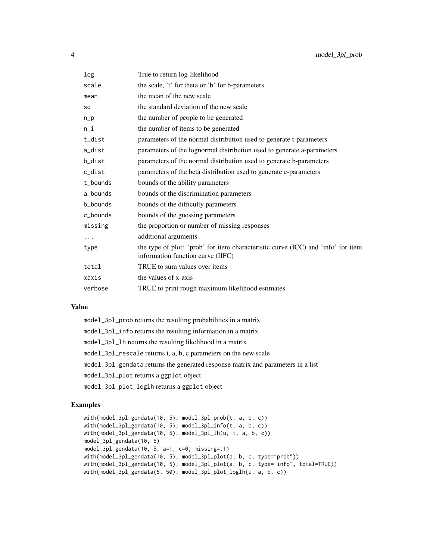| log      | True to return log-likelihood                                                                                         |
|----------|-----------------------------------------------------------------------------------------------------------------------|
| scale    | the scale, 't' for theta or 'b' for b-parameters                                                                      |
| mean     | the mean of the new scale                                                                                             |
| sd       | the standard deviation of the new scale                                                                               |
| $n_p$    | the number of people to be generated                                                                                  |
| $n_i$    | the number of items to be generated                                                                                   |
| t_dist   | parameters of the normal distribution used to generate t-parameters                                                   |
| a_dist   | parameters of the lognormal distribution used to generate a-parameters                                                |
| b_dist   | parameters of the normal distribution used to generate b-parameters                                                   |
| c_dist   | parameters of the beta distribution used to generate c-parameters                                                     |
| t bounds | bounds of the ability parameters                                                                                      |
| a_bounds | bounds of the discrimination parameters                                                                               |
| b_bounds | bounds of the difficulty parameters                                                                                   |
| c_bounds | bounds of the guessing parameters                                                                                     |
| missing  | the proportion or number of missing responses                                                                         |
| .        | additional arguments                                                                                                  |
| type     | the type of plot: 'prob' for item characteristic curve (ICC) and 'info' for item<br>information function curve (IIFC) |
| total    | TRUE to sum values over items                                                                                         |
| xaxis    | the values of x-axis                                                                                                  |
| verbose  | TRUE to print rough maximum likelihood estimates                                                                      |

#### Value

| model_3pl_prob returns the resulting probabilities in a matrix                   |
|----------------------------------------------------------------------------------|
| model_3pl_info returns the resulting information in a matrix                     |
| model_3pl_lh returns the resulting likelihood in a matrix                        |
| model_3pl_rescale returns t, a, b, c parameters on the new scale                 |
| model_3pl_gendata returns the generated response matrix and parameters in a list |
| model_3pl_plot returns a ggplot object                                           |
| model_3pl_plot_loglh returns a ggplot object                                     |

```
with(model_3pl_gendata(10, 5), model_3pl_prob(t, a, b, c))
with(model_3pl_gendata(10, 5), model_3pl_info(t, a, b, c))
with(model_3pl_gendata(10, 5), model_3pl_lh(u, t, a, b, c))
model_3pl_gendata(10, 5)
model_3pl_gendata(10, 5, a=1, c=0, missing=.1)
with(model_3pl_gendata(10, 5), model_3pl_plot(a, b, c, type="prob"))
with(model_3pl_gendata(10, 5), model_3pl_plot(a, b, c, type="info", total=TRUE))
with(model_3pl_gendata(5, 50), model_3pl_plot_loglh(u, a, b, c))
```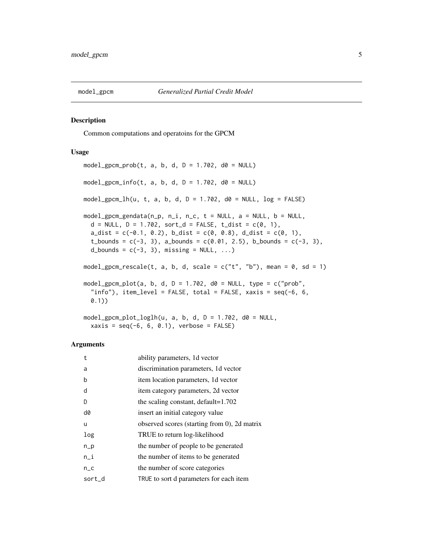<span id="page-4-0"></span>

#### Description

Common computations and operatoins for the GPCM

#### Usage

```
model\_gpcm\_prob(t, a, b, d, D = 1.702, d0 = NULL)model_gpcm_info(t, a, b, d, D = 1.702, d0 = NULL)
model_gpcm_lh(u, t, a, b, d, D = 1.702, d0 = NULL, log = FALSE)
model_gpcm_gendata(n_p, n_i, n_c, t = NULL, a = NULL, b = NULL,
  d = NULL, D = 1.702, sort_d = FALSE, t_dist = c(0, 1),
  a\_dist = c(-0.1, 0.2), b\_dist = c(0, 0.8), d\_dist = c(0, 1),t_bounds = c(-3, 3), a_bounds = c(0.01, 2.5), b_bounds = c(-3, 3),
  d_bounds = c(-3, 3), missing = NULL, ...)
model_gpcm_rescale(t, a, b, d, scale = c("t", "b"), mean = 0, sd = 1)
model_gpcm_plot(a, b, d, D = 1.702, d0 = NULL, type = c("prob",
  "info"), item_level = FALSE, total = FALSE, xaxis = seq(-6, 6, 6)0.1))
```
 $model\_gpcm\_plot\_loglh(u, a, b, d, D = 1.702, d0 = NULL,$  $xaxis = seq(-6, 6, 0.1),$  verbose = FALSE)

#### Arguments

| t        | ability parameters, 1d vector                |
|----------|----------------------------------------------|
| a        | discrimination parameters, 1d vector         |
| b        | item location parameters, 1d vector          |
| d        | item category parameters, 2d vector          |
| D        | the scaling constant, $default=1.702$        |
| d0       | insert an initial category value             |
| u        | observed scores (starting from 0), 2d matrix |
| log      | TRUE to return log-likelihood                |
| $n_p$    | the number of people to be generated         |
| n_i      | the number of items to be generated          |
| $n_{-}c$ | the number of score categories               |
| sort_d   | TRUE to sort d parameters for each item      |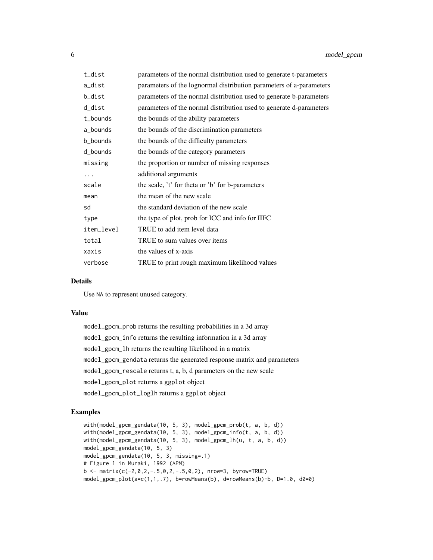| t_dist     | parameters of the normal distribution used to generate t-parameters |
|------------|---------------------------------------------------------------------|
| a_dist     | parameters of the lognormal distribution parameters of a-parameters |
| b_dist     | parameters of the normal distribution used to generate b-parameters |
| d_dist     | parameters of the normal distribution used to generate d-parameters |
| t_bounds   | the bounds of the ability parameters                                |
| a_bounds   | the bounds of the discrimination parameters                         |
| b_bounds   | the bounds of the difficulty parameters                             |
| d_bounds   | the bounds of the category parameters                               |
| missing    | the proportion or number of missing responses                       |
| .          | additional arguments                                                |
| scale      | the scale, 't' for theta or 'b' for b-parameters                    |
| mean       | the mean of the new scale                                           |
| sd         | the standard deviation of the new scale                             |
| type       | the type of plot, prob for ICC and info for IIFC                    |
| item_level | TRUE to add item level data                                         |
| total      | TRUE to sum values over items                                       |
| xaxis      | the values of x-axis                                                |
| verbose    | TRUE to print rough maximum likelihood values                       |

#### Details

Use NA to represent unused category.

#### Value

model\_gpcm\_prob returns the resulting probabilities in a 3d array model\_gpcm\_info returns the resulting information in a 3d array model\_gpcm\_lh returns the resulting likelihood in a matrix model\_gpcm\_gendata returns the generated response matrix and parameters model\_gpcm\_rescale returns t, a, b, d parameters on the new scale model\_gpcm\_plot returns a ggplot object model\_gpcm\_plot\_loglh returns a ggplot object

```
with(model_gpcm_gendata(10, 5, 3), model_gpcm_prob(t, a, b, d))
with(model_gpcm_gendata(10, 5, 3), model_gpcm_info(t, a, b, d))
with(model_gpcm_gendata(10, 5, 3), model_gpcm_lh(u, t, a, b, d))
model_gpcm_gendata(10, 5, 3)
model_gpcm_gendata(10, 5, 3, missing=.1)
# Figure 1 in Muraki, 1992 (APM)
b \le - matrix(c(-2,0,2,-.5,0,2,-.5,0,2), nrow=3, byrow=TRUE)
model_gpcm_plot(a=c(1,1,.7), b=rowMeans(b), d=rowMeans(b)-b, D=1.0, d0=0)
```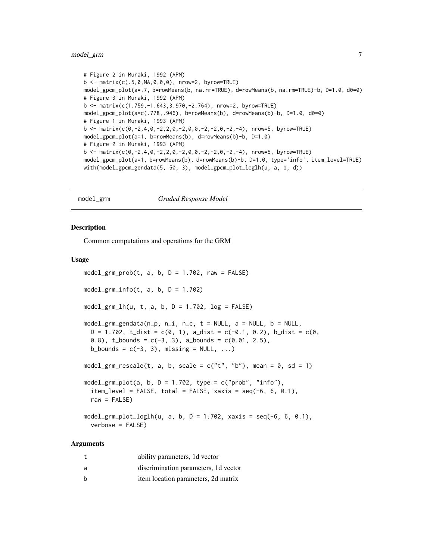#### <span id="page-6-0"></span>model\_grm 7

```
# Figure 2 in Muraki, 1992 (APM)
b \le - matrix(c(.5, 0, NA, 0, 0, 0), nrow=2, byrow=TRUE)
model_gpcm_plot(a=.7, b=rowMeans(b, na.rm=TRUE), d=rowMeans(b, na.rm=TRUE)-b, D=1.0, d0=0)
# Figure 3 in Muraki, 1992 (APM)
b <- matrix(c(1.759,-1.643,3.970,-2.764), nrow=2, byrow=TRUE)
model_gpcm_plot(a=c(.778,.946), b=rowMeans(b), d=rowMeans(b)-b, D=1.0, d0=0)
# Figure 1 in Muraki, 1993 (APM)
b \le matrix(c(0,-2,4,0,-2,2,0,-2,0,0,-2,-2,0,-2,-4), nrow=5, byrow=TRUE)
model_gpcm_plot(a=1, b=rowMeans(b), d=rowMeans(b)-b, D=1.0)
# Figure 2 in Muraki, 1993 (APM)
b <- matrix(c(0,-2,4,0,-2,2,0,-2,0,0,-2,-2,0,-2,-4), nrow=5, byrow=TRUE)
model_gpcm_plot(a=1, b=rowMeans(b), d=rowMeans(b)-b, D=1.0, type='info', item_level=TRUE)
with(model_gpcm_gendata(5, 50, 3), model_gpcm_plot_loglh(u, a, b, d))
```
model\_grm *Graded Response Model*

#### Description

Common computations and operations for the GRM

#### Usage

```
model_grm_prob(t, a, b, D = 1.702, raw = FALSE)
model_grm_info(t, a, b, D = 1.702)
model_grm_lh(u, t, a, b, D = 1.702, log = FALSE)
model\_grm\_gendata(n_p, n_i, n_c, t = NULL, a = NULL, b = NULL,D = 1.702, t\_dist = c(0, 1), a\_dist = c(-0.1, 0.2), b\_dist = c(0, 1)0.8), t_bounds = c(-3, 3), a_bounds = c(0.01, 2.5),
  b_bounds = c(-3, 3), missing = NULL, ...)
model_grm_rescale(t, a, b, scale = c("t", "b"), mean = 0, sd = 1)
model_grm_plot(a, b, D = 1.702, type = c("prob", "info"),
  item\_level = FALSE, total = FALSE, xaxis = seq(-6, 6, 0.1),raw = FALSE)
model\_grm\_plot\_loglh(u, a, b, D = 1.702, xaxis = seq(-6, 6, 0.1),verbose = FALSE)
```
#### Arguments

|   | ability parameters, 1d vector        |
|---|--------------------------------------|
| a | discrimination parameters, 1d vector |
| b | item location parameters, 2d matrix  |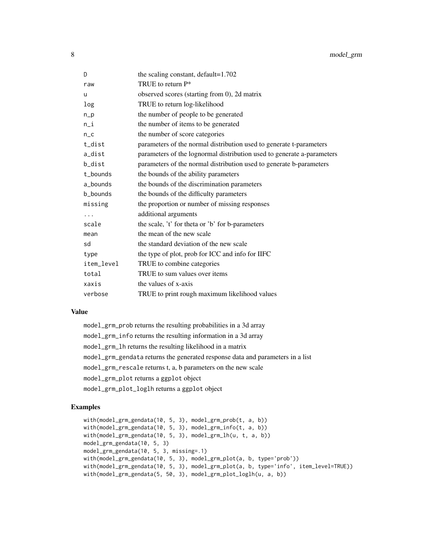| D          | the scaling constant, default=1.702                                    |
|------------|------------------------------------------------------------------------|
| raw        | TRUE to return $P^*$                                                   |
| u          | observed scores (starting from 0), 2d matrix                           |
| log        | TRUE to return log-likelihood                                          |
| $n_p$      | the number of people to be generated                                   |
| $n_i$      | the number of items to be generated                                    |
| $n_{-}c$   | the number of score categories                                         |
| t_dist     | parameters of the normal distribution used to generate t-parameters    |
| a_dist     | parameters of the lognormal distribution used to generate a-parameters |
| b_dist     | parameters of the normal distribution used to generate b-parameters    |
| t_bounds   | the bounds of the ability parameters                                   |
| a_bounds   | the bounds of the discrimination parameters                            |
| b bounds   | the bounds of the difficulty parameters                                |
| missing    | the proportion or number of missing responses                          |
| $\cdots$   | additional arguments                                                   |
| scale      | the scale, 't' for theta or 'b' for b-parameters                       |
| mean       | the mean of the new scale                                              |
| sd         | the standard deviation of the new scale                                |
| type       | the type of plot, prob for ICC and info for IIFC                       |
| item_level | TRUE to combine categories                                             |
| total      | TRUE to sum values over items                                          |
| xaxis      | the values of x-axis                                                   |
| verbose    | TRUE to print rough maximum likelihood values                          |

#### Value

model\_grm\_prob returns the resulting probabilities in a 3d array model\_grm\_info returns the resulting information in a 3d array model\_grm\_lh returns the resulting likelihood in a matrix model\_grm\_gendata returns the generated response data and parameters in a list model\_grm\_rescale returns t, a, b parameters on the new scale model\_grm\_plot returns a ggplot object model\_grm\_plot\_loglh returns a ggplot object

```
with(model_grm_gendata(10, 5, 3), model_grm_prob(t, a, b))
with(model_grm_gendata(10, 5, 3), model_grm_info(t, a, b))
with(model_grm_gendata(10, 5, 3), model_grm_lh(u, t, a, b))
model_grm_gendata(10, 5, 3)
model_grm_gendata(10, 5, 3, missing=.1)
with(model_grm_gendata(10, 5, 3), model_grm_plot(a, b, type='prob'))
with(model_grm_gendata(10, 5, 3), model_grm_plot(a, b, type='info', item_level=TRUE))
with(model_grm_gendata(5, 50, 3), model_grm_plot_loglh(u, a, b))
```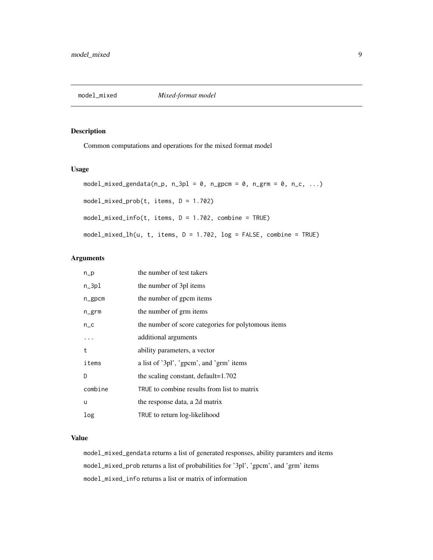<span id="page-8-0"></span>

#### Description

Common computations and operations for the mixed format model

#### Usage

```
model_mixed_gendata(n_p, n_3pl = 0, n_gpcm = 0, n_grm = 0, n_c, ...)
model_mixed_prob(t, items, D = 1.702)
model_mixed_info(t, items, D = 1.702, combine = TRUE)
model\_mixed\_lh(u, t, items, D = 1.702, log = FALSE, combine = TRUE)
```
#### Arguments

| $n_p$     | the number of test takers                           |
|-----------|-----------------------------------------------------|
| $n_3$ pl  | the number of 3pl items                             |
| $n$ _gpcm | the number of gpcm items                            |
| n_grm     | the number of grm items                             |
| $n_{-}c$  | the number of score categories for polytomous items |
| .         | additional arguments                                |
| t         | ability parameters, a vector                        |
| items     | a list of '3pl', 'gpcm', and 'grm' items            |
| D         | the scaling constant, default=1.702                 |
| combine   | TRUE to combine results from list to matrix         |
| u         | the response data, a 2d matrix                      |
| log       | TRUE to return log-likelihood                       |

#### Value

model\_mixed\_gendata returns a list of generated responses, ability paramters and items model\_mixed\_prob returns a list of probabilities for '3pl', 'gpcm', and 'grm' items model\_mixed\_info returns a list or matrix of information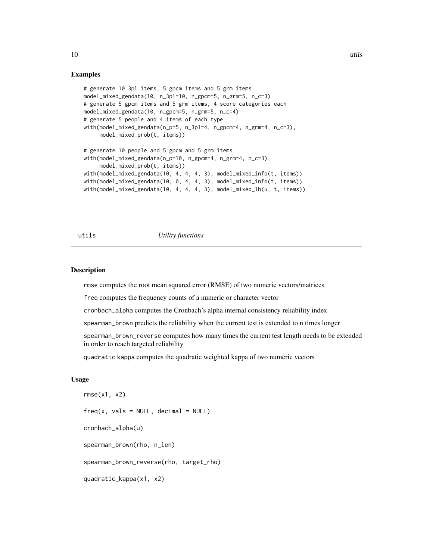#### Examples

```
# generate 10 3pl items, 5 gpcm items and 5 grm items
model_mixed_gendata(10, n_3pl=10, n_gpcm=5, n_grm=5, n_c=3)
# generate 5 gpcm items and 5 grm items, 4 score categories each
model_mixed_gendata(10, n_gpcm=5, n_grm=5, n_c=4)
# generate 5 people and 4 items of each type
with(model_mixed_gendata(n_p=5, n_3pl=4, n_gpcm=4, n_grm=4, n_c=3),
     model_mixed_prob(t, items))
# generate 10 people and 5 gpcm and 5 grm items
with(model_mixed_gendata(n_p=10, n_gpcm=4, n_grm=4, n_c=3),
     model_mixed_prob(t, items))
with(model_mixed_gendata(10, 4, 4, 4, 3), model_mixed_info(t, items))
with(model_mixed_gendata(10, 0, 4, 4, 3), model_mixed_info(t, items))
with(model_mixed_gendata(10, 4, 4, 4, 3), model_mixed_lh(u, t, items))
```
#### utils *Utility functions*

#### Description

rmse computes the root mean squared error (RMSE) of two numeric vectors/matrices

freq computes the frequency counts of a numeric or character vector

cronbach\_alpha computes the Cronbach's alpha internal consistency reliability index

spearman\_brown predicts the reliability when the current test is extended to n times longer

spearman\_brown\_reverse computes how many times the current test length needs to be extended in order to reach targeted reliability

quadratic kappa computes the quadratic weighted kappa of two numeric vectors

#### Usage

```
rmse(x1, x2)
freq(x, vals = NULL, decimal = NULL)cronbach_alpha(u)
spearman_brown(rho, n_len)
spearman_brown_reverse(rho, target_rho)
quadratic_kappa(x1, x2)
```
<span id="page-9-0"></span>10 utils and the contract of the contract of the contract of the contract of the contract of the contract of the contract of the contract of the contract of the contract of the contract of the contract of the contract of t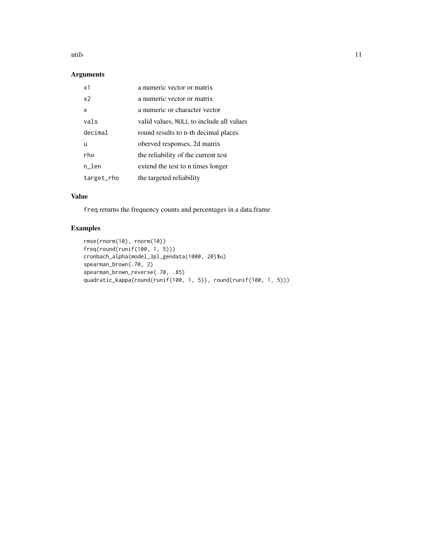#### utils the contract of the contract of the contract of the contract of the contract of the contract of the contract of the contract of the contract of the contract of the contract of the contract of the contract of the cont

#### Arguments

| x1             | a numeric vector or matrix               |
|----------------|------------------------------------------|
| x <sub>2</sub> | a numeric vector or matrix               |
| x              | a numeric or character vector            |
| vals           | valid values, NULL to include all values |
| decimal        | round results to n-th decimal places     |
| u              | oberved responses, 2d matrix             |
| rho            | the reliability of the current test      |
| n_len          | extend the test to n times longer        |
| target_rho     | the targeted reliability                 |

#### Value

freq returns the frequency counts and percentages in a data.frame

```
rmse(rnorm(10), rnorm(10))
freq(round(runif(100, 1, 5)))
cronbach_alpha(model_3pl_gendata(1000, 20)$u)
spearman_brown(.70, 2)
spearman_brown_reverse(.70, .85)
quadratic_kappa(round(runif(100, 1, 5)), round(runif(100, 1, 5)))
```